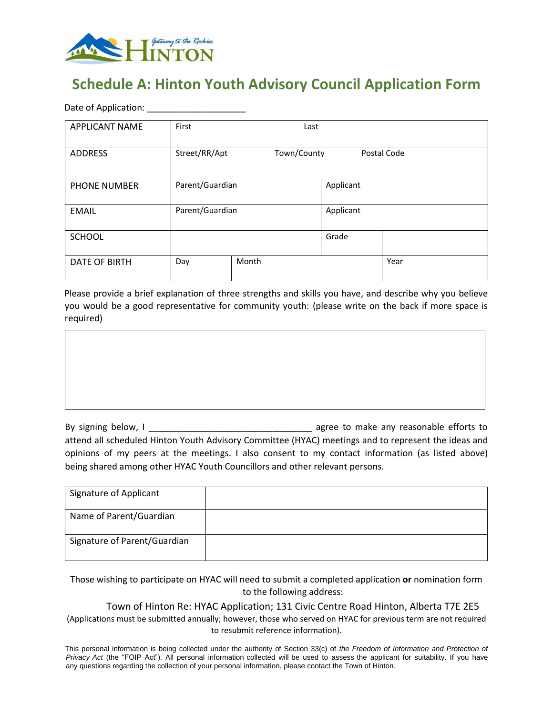

# **Schedule A: Hinton Youth Advisory Council Application Form**

Date of Application: **Example 20** 

| <b>APPLICANT NAME</b> | First           | Last        |           |             |
|-----------------------|-----------------|-------------|-----------|-------------|
| <b>ADDRESS</b>        | Street/RR/Apt   | Town/County |           | Postal Code |
| <b>PHONE NUMBER</b>   | Parent/Guardian |             | Applicant |             |
| <b>EMAIL</b>          | Parent/Guardian |             | Applicant |             |
| <b>SCHOOL</b>         |                 |             | Grade     |             |
| <b>DATE OF BIRTH</b>  | Day             | Month       |           | Year        |

Please provide a brief explanation of three strengths and skills you have, and describe why you believe you would be a good representative for community youth: (please write on the back if more space is required)



By signing below, I \_\_\_\_\_\_\_\_\_\_\_\_\_\_\_\_\_\_\_\_\_\_\_\_\_\_\_\_\_\_\_\_\_ agree to make any reasonable efforts to attend all scheduled Hinton Youth Advisory Committee (HYAC) meetings and to represent the ideas and opinions of my peers at the meetings. I also consent to my contact information (as listed above) being shared among other HYAC Youth Councillors and other relevant persons.

| Signature of Applicant       |  |
|------------------------------|--|
| Name of Parent/Guardian      |  |
| Signature of Parent/Guardian |  |

Those wishing to participate on HYAC will need to submit a completed application **or** nomination form to the following address:

Town of Hinton Re: HYAC Application; 131 Civic Centre Road Hinton, Alberta T7E 2E5

(Applications must be submitted annually; however, those who served on HYAC for previous term are not required to resubmit reference information).

This personal information is being collected under the authority of Section 33(c) of *the Freedom of Information and Protection of Privacy Act* (the "FOIP Act"). All personal information collected will be used to assess the applicant for suitability. If you have any questions regarding the collection of your personal information, please contact the Town of Hinton.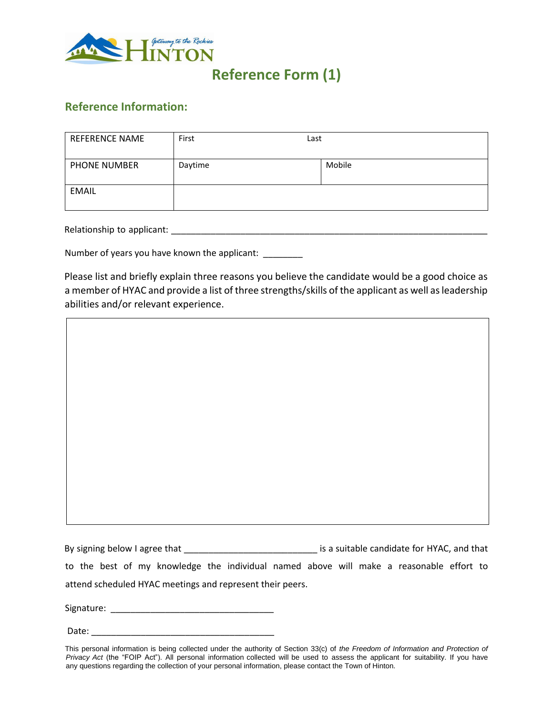

## **Reference Form (1)**

#### **Reference Information:**

| <b>REFERENCE NAME</b> | First   | Last   |
|-----------------------|---------|--------|
| PHONE NUMBER          | Daytime | Mobile |
| <b>EMAIL</b>          |         |        |

Relationship to applicant: \_\_\_\_\_\_\_\_\_\_\_\_\_\_\_\_\_\_\_\_\_\_\_\_\_\_\_\_\_\_\_\_\_\_\_\_\_\_\_\_\_\_\_\_\_\_\_\_\_\_\_\_\_\_\_\_\_\_\_\_\_\_\_\_

Number of years you have known the applicant:

Please list and briefly explain three reasons you believe the candidate would be a good choice as a member of HYAC and provide a list of three strengths/skills of the applicant as well as leadership abilities and/or relevant experience.

By signing below I agree that \_\_\_\_\_\_\_\_\_\_\_\_\_\_\_\_\_\_\_\_\_\_\_\_\_\_\_\_\_\_\_\_\_ is a suitable candidate for HYAC, and that to the best of my knowledge the individual named above will make a reasonable effort to attend scheduled HYAC meetings and represent their peers.

Signature: \_\_\_\_\_\_\_\_\_\_\_\_\_\_\_\_\_\_\_\_\_\_\_\_\_\_\_\_\_\_\_\_\_

Date:

This personal information is being collected under the authority of Section 33(c) of *the Freedom of Information and Protection of Privacy Act* (the "FOIP Act"). All personal information collected will be used to assess the applicant for suitability. If you have any questions regarding the collection of your personal information, please contact the Town of Hinton.